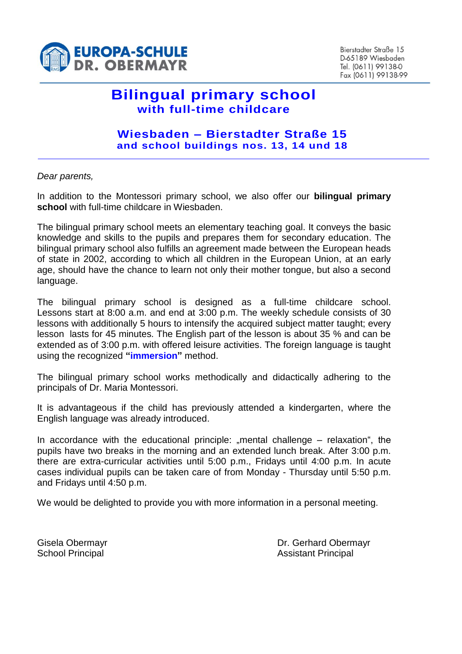

Bierstadter Straße 15 D-65189 Wiesbaden Tel. (0611) 99138-0 Fax (0611) 99138-99

# **Bilingual primary school with full-time childcare**

### **Wiesbaden – Bierstadter Straße 15 and school buildings nos. 13, 14 und 18**

#### *Dear parents,*

In addition to the Montessori primary school, we also offer our **bilingual primary school** with full-time childcare in Wiesbaden.

The bilingual primary school meets an elementary teaching goal. It conveys the basic knowledge and skills to the pupils and prepares them for secondary education. The bilingual primary school also fulfills an agreement made between the European heads of state in 2002, according to which all children in the European Union, at an early age, should have the chance to learn not only their mother tongue, but also a second language.

The bilingual primary school is designed as a full-time childcare school. Lessons start at 8:00 a.m. and end at 3:00 p.m. The weekly schedule consists of 30 lessons with additionally 5 hours to intensify the acquired subject matter taught; every lesson lasts for 45 minutes. The English part of the lesson is about 35 % and can be extended as of 3:00 p.m. with offered leisure activities. The foreign language is taught using the recognized **"immersion"** method.

The bilingual primary school works methodically and didactically adhering to the principals of Dr. Maria Montessori.

It is advantageous if the child has previously attended a kindergarten, where the English language was already introduced.

In accordance with the educational principle: "mental challenge  $-$  relaxation", the pupils have two breaks in the morning and an extended lunch break. After 3:00 p.m. there are extra-curricular activities until 5:00 p.m., Fridays until 4:00 p.m. In acute cases individual pupils can be taken care of from Monday - Thursday until 5:50 p.m. and Fridays until 4:50 p.m.

We would be delighted to provide you with more information in a personal meeting.

Gisela Obermayr **Dr. Gerhard Obermayr** Dr. Gerhard Obermayr School Principal **Assistant Principal** Assistant Principal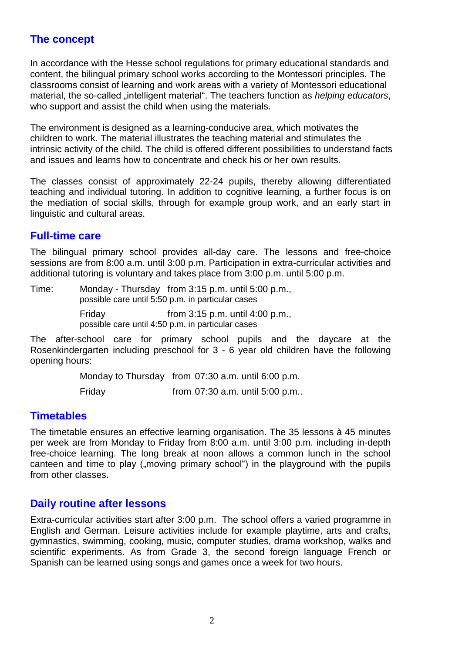## **The concept**

In accordance with the Hesse school regulations for primary educational standards and content, the bilingual primary school works according to the Montessori principles. The classrooms consist of learning and work areas with a variety of Montessori educational material, the so-called "intelligent material". The teachers function as *helping educators*, who support and assist the child when using the materials.

The environment is designed as a learning-conducive area, which motivates the children to work. The material illustrates the teaching material and stimulates the intrinsic activity of the child. The child is offered different possibilities to understand facts and issues and learns how to concentrate and check his or her own results.

The classes consist of approximately 22-24 pupils, thereby allowing differentiated teaching and individual tutoring. In addition to cognitive learning, a further focus is on the mediation of social skills, through for example group work, and an early start in linguistic and cultural areas.

## **Full-time care**

The bilingual primary school provides all-day care. The lessons and free-choice sessions are from 8:00 a.m. until 3:00 p.m. Participation in extra-curricular activities and additional tutoring is voluntary and takes place from 3:00 p.m. until 5:00 p.m.

Time: Monday - Thursday from 3:15 p.m. until 5:00 p.m., possible care until 5:50 p.m. in particular cases

> Friday from 3:15 p.m. until 4:00 p.m., possible care until 4:50 p.m. in particular cases

The after-school care for primary school pupils and the daycare at the Rosenkindergarten including preschool for 3 - 6 year old children have the following opening hours:

Monday to Thursday from 07:30 a.m. until 6:00 p.m.

Friday from 07:30 a.m. until 5:00 p.m..

## **Timetables**

The timetable ensures an effective learning organisation. The 35 lessons à 45 minutes per week are from Monday to Friday from 8:00 a.m. until 3:00 p.m. including in-depth free-choice learning. The long break at noon allows a common lunch in the school canteen and time to play ("moving primary school") in the playground with the pupils from other classes.

## **Daily routine after lessons**

Extra-curricular activities start after 3:00 p.m. The school offers a varied programme in English and German. Leisure activities include for example playtime, arts and crafts, gymnastics, swimming, cooking, music, computer studies, drama workshop, walks and scientific experiments. As from Grade 3, the second foreign language French or Spanish can be learned using songs and games once a week for two hours.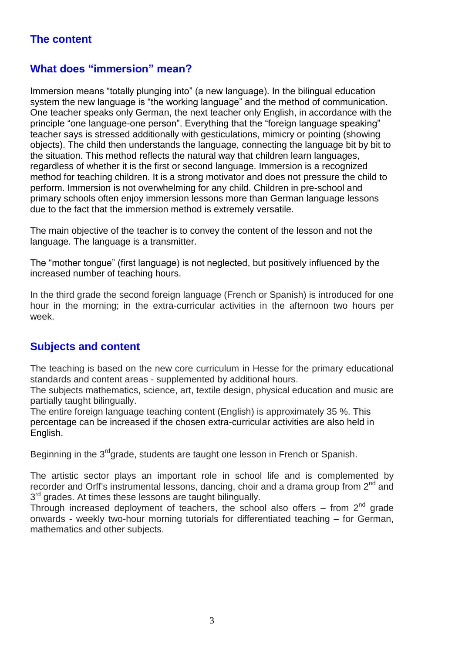# **The content**

## **What does "immersion" mean?**

Immersion means "totally plunging into" (a new language). In the bilingual education system the new language is "the working language" and the method of communication. One teacher speaks only German, the next teacher only English, in accordance with the principle "one language-one person". Everything that the "foreign language speaking" teacher says is stressed additionally with gesticulations, mimicry or pointing (showing objects). The child then understands the language, connecting the language bit by bit to the situation. This method reflects the natural way that children learn languages, regardless of whether it is the first or second language. Immersion is a recognized method for teaching children. It is a strong motivator and does not pressure the child to perform. Immersion is not overwhelming for any child. Children in pre-school and primary schools often enjoy immersion lessons more than German language lessons due to the fact that the immersion method is extremely versatile.

The main objective of the teacher is to convey the content of the lesson and not the language. The language is a transmitter.

The "mother tongue" (first language) is not neglected, but positively influenced by the increased number of teaching hours.

In the third grade the second foreign language (French or Spanish) is introduced for one hour in the morning; in the extra-curricular activities in the afternoon two hours per week.

## **Subjects and content**

The teaching is based on the new core curriculum in Hesse for the primary educational standards and content areas - supplemented by additional hours.

The subjects mathematics, science, art, textile design, physical education and music are partially taught bilingually.

The entire foreign language teaching content (English) is approximately 35 %. This percentage can be increased if the chosen extra-curricular activities are also held in English.

Beginning in the 3<sup>rd</sup>grade, students are taught one lesson in French or Spanish.

The artistic sector plays an important role in school life and is complemented by recorder and Orff's instrumental lessons, dancing, choir and a drama group from  $2^{nd}$  and 3<sup>rd</sup> grades. At times these lessons are taught bilingually.

Through increased deployment of teachers, the school also offers – from  $2^{nd}$  grade onwards - weekly two-hour morning tutorials for differentiated teaching – for German, mathematics and other subjects.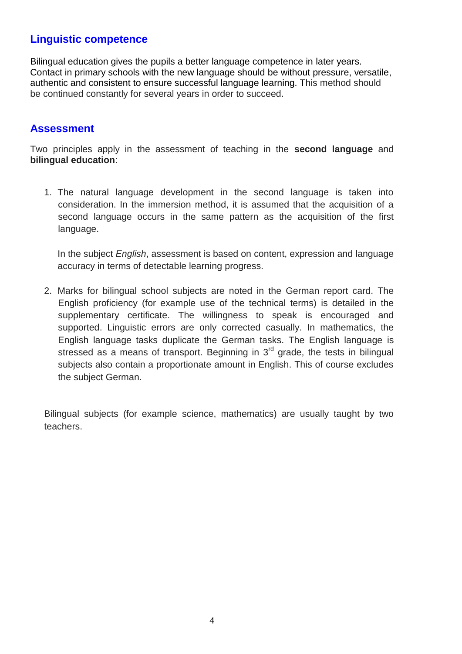## **Linguistic competence**

Bilingual education gives the pupils a better language competence in later years. Contact in primary schools with the new language should be without pressure, versatile, authentic and consistent to ensure successful language learning. This method should be continued constantly for several years in order to succeed.

### **Assessment**

Two principles apply in the assessment of teaching in the **second language** and **bilingual education**:

1. The natural language development in the second language is taken into consideration. In the immersion method, it is assumed that the acquisition of a second language occurs in the same pattern as the acquisition of the first language.

In the subject *English*, assessment is based on content, expression and language accuracy in terms of detectable learning progress.

2. Marks for bilingual school subjects are noted in the German report card. The English proficiency (for example use of the technical terms) is detailed in the supplementary certificate. The willingness to speak is encouraged and supported. Linguistic errors are only corrected casually. In mathematics, the English language tasks duplicate the German tasks. The English language is stressed as a means of transport. Beginning in  $3<sup>rd</sup>$  grade, the tests in bilingual subjects also contain a proportionate amount in English. This of course excludes the subject German.

Bilingual subjects (for example science, mathematics) are usually taught by two teachers.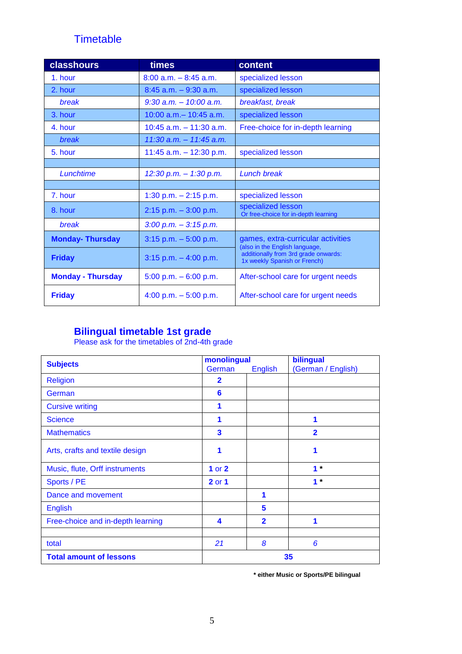# **Timetable**

| <b>classhours</b>        | times                      | content                                                                                                                                      |  |
|--------------------------|----------------------------|----------------------------------------------------------------------------------------------------------------------------------------------|--|
| 1. hour                  | $8:00$ a.m. $-8:45$ a.m.   | specialized lesson                                                                                                                           |  |
| 2. hour                  | $8:45$ a.m. $-9:30$ a.m.   | specialized lesson                                                                                                                           |  |
| break                    | $9:30$ a.m. $-10:00$ a.m.  | breakfast, break                                                                                                                             |  |
| 3. hour                  | $10:00$ a.m. $-10:45$ a.m. | specialized lesson                                                                                                                           |  |
| 4. hour                  | $10:45$ a.m. $-11:30$ a.m. | Free-choice for in-depth learning                                                                                                            |  |
| break                    | $11:30$ a.m. $-11:45$ a.m. |                                                                                                                                              |  |
| 5. hour                  | 11:45 $a.m. - 12:30$ p.m.  | specialized lesson                                                                                                                           |  |
|                          |                            |                                                                                                                                              |  |
| Lunchtime                | $12:30$ p.m. $-1:30$ p.m.  | Lunch break                                                                                                                                  |  |
|                          |                            |                                                                                                                                              |  |
| 7. hour                  | 1:30 p.m. $- 2:15$ p.m.    | specialized lesson                                                                                                                           |  |
| 8. hour                  | $2:15$ p.m. $-3:00$ p.m.   | specialized lesson<br>Or free-choice for in-depth learning                                                                                   |  |
| break                    | $3:00$ p.m. $-3:15$ p.m.   |                                                                                                                                              |  |
| <b>Monday-Thursday</b>   | $3:15$ p.m. $-5:00$ p.m.   | games, extra-curricular activities<br>(also in the English language,<br>additionally from 3rd grade onwards:<br>1x weekly Spanish or French) |  |
| <b>Friday</b>            | $3:15$ p.m. $-4:00$ p.m.   |                                                                                                                                              |  |
| <b>Monday - Thursday</b> | 5:00 p.m. $-6:00$ p.m.     | After-school care for urgent needs                                                                                                           |  |
| <b>Friday</b>            | 4:00 p.m. $-5:00$ p.m.     | After-school care for urgent needs                                                                                                           |  |

## **Bilingual timetable 1st grade**

Please ask for the timetables of 2nd-4th grade

| <b>Subjects</b>                   | monolingual |                         | bilingual          |  |
|-----------------------------------|-------------|-------------------------|--------------------|--|
|                                   | German      | <b>English</b>          | (German / English) |  |
| <b>Religion</b>                   | $\mathbf 2$ |                         |                    |  |
| German                            | 6           |                         |                    |  |
| <b>Cursive writing</b>            |             |                         |                    |  |
| <b>Science</b>                    | 1           |                         | 1                  |  |
| <b>Mathematics</b>                | 3           |                         | $\overline{2}$     |  |
| Arts, crafts and textile design   |             |                         | 1                  |  |
| Music, flute, Orff instruments    | 1 or $2$    |                         | $1*$               |  |
| Sports / PE                       | 2 or 1      |                         | $1*$               |  |
| Dance and movement                |             | 1                       |                    |  |
| <b>English</b>                    |             | 5                       |                    |  |
| Free-choice and in-depth learning | 4           | $\overline{\mathbf{2}}$ | 1                  |  |
|                                   |             |                         |                    |  |
| total                             | 21          | 8                       | 6                  |  |
| <b>Total amount of lessons</b>    |             | 35                      |                    |  |

 **\* either Music or Sports/PE bilingual**